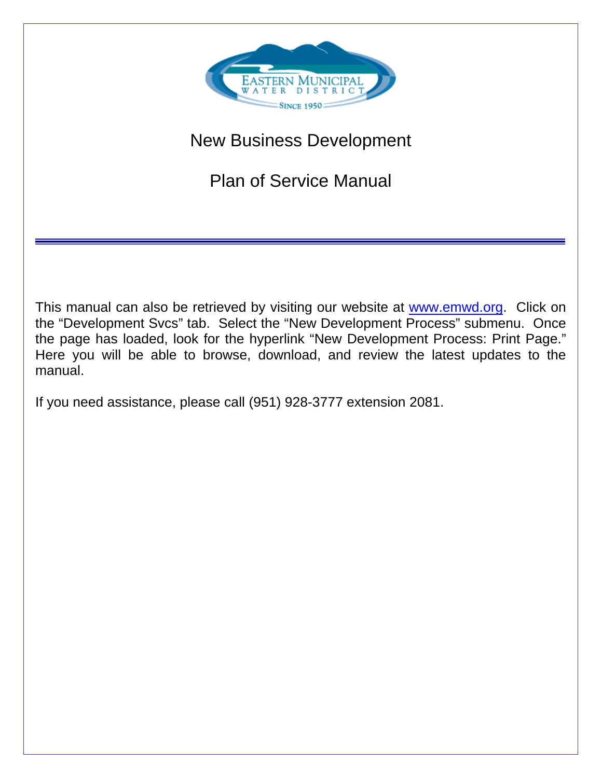

# New Business Development

Plan of Service Manual

This manual can also be retrieved by visiting our website at [www.emwd.org.](http://www.emwd.org/) Click on the "Development Svcs" tab. Select the "New Development Process" submenu. Once the page has loaded, look for the hyperlink "New Development Process: Print Page." Here you will be able to browse, download, and review the latest updates to the manual.

If you need assistance, please call (951) 928-3777 extension 2081.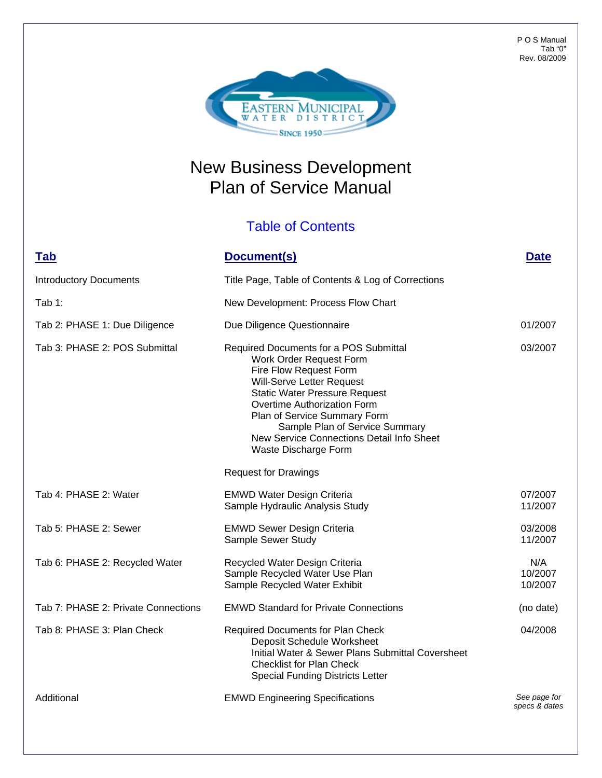

## New Business Development Plan of Service Manual

#### Table of Contents

### **Tab Document(s) Date**

| <b>Introductory Documents</b>       | Title Page, Table of Contents & Log of Corrections                                                                                                                                                                                                                                                                                     |                               |
|-------------------------------------|----------------------------------------------------------------------------------------------------------------------------------------------------------------------------------------------------------------------------------------------------------------------------------------------------------------------------------------|-------------------------------|
| Tab $1:$                            | New Development: Process Flow Chart                                                                                                                                                                                                                                                                                                    |                               |
| Tab 2: PHASE 1: Due Diligence       | Due Diligence Questionnaire                                                                                                                                                                                                                                                                                                            | 01/2007                       |
| Tab 3: PHASE 2: POS Submittal       | Required Documents for a POS Submittal<br>Work Order Request Form<br>Fire Flow Request Form<br>Will-Serve Letter Request<br><b>Static Water Pressure Request</b><br>Overtime Authorization Form<br>Plan of Service Summary Form<br>Sample Plan of Service Summary<br>New Service Connections Detail Info Sheet<br>Waste Discharge Form | 03/2007                       |
|                                     | <b>Request for Drawings</b>                                                                                                                                                                                                                                                                                                            |                               |
| Tab 4: PHASE 2: Water               | <b>EMWD Water Design Criteria</b><br>Sample Hydraulic Analysis Study                                                                                                                                                                                                                                                                   | 07/2007<br>11/2007            |
| Tab 5: PHASE 2: Sewer               | <b>EMWD Sewer Design Criteria</b><br>Sample Sewer Study                                                                                                                                                                                                                                                                                | 03/2008<br>11/2007            |
| Tab 6: PHASE 2: Recycled Water      | Recycled Water Design Criteria<br>Sample Recycled Water Use Plan<br>Sample Recycled Water Exhibit                                                                                                                                                                                                                                      | N/A<br>10/2007<br>10/2007     |
| Tab 7: PHASE 2: Private Connections | <b>EMWD Standard for Private Connections</b>                                                                                                                                                                                                                                                                                           | (no date)                     |
| Tab 8: PHASE 3: Plan Check          | <b>Required Documents for Plan Check</b><br>Deposit Schedule Worksheet<br><b>Initial Water &amp; Sewer Plans Submittal Coversheet</b><br><b>Checklist for Plan Check</b><br><b>Special Funding Districts Letter</b>                                                                                                                    | 04/2008                       |
| Additional                          | <b>EMWD Engineering Specifications</b>                                                                                                                                                                                                                                                                                                 | See page for<br>specs & dates |